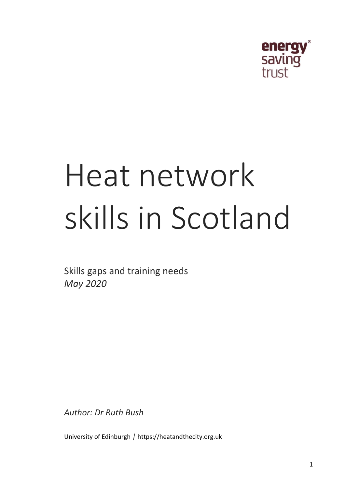

# Heat network skills in Scotland

Skills gaps and training needs *May 2020*

*Author: Dr Ruth Bush*

University of Edinburgh *|* https://heatandthecity.org.uk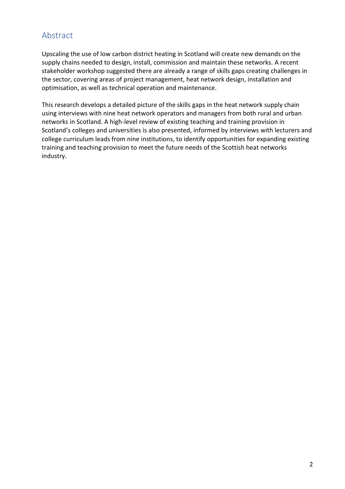# <span id="page-1-0"></span>Abstract

Upscaling the use of low carbon district heating in Scotland will create new demands on the supply chains needed to design, install, commission and maintain these networks. A recent stakeholder workshop suggested there are already a range of skills gaps creating challenges in the sector, covering areas of project management, heat network design, installation and optimisation, as well as technical operation and maintenance.

This research develops a detailed picture of the skills gaps in the heat network supply chain using interviews with nine heat network operators and managers from both rural and urban networks in Scotland. A high-level review of existing teaching and training provision in Scotland's colleges and universities is also presented, informed by interviews with lecturers and college curriculum leads from nine institutions, to identify opportunities for expanding existing training and teaching provision to meet the future needs of the Scottish heat networks industry.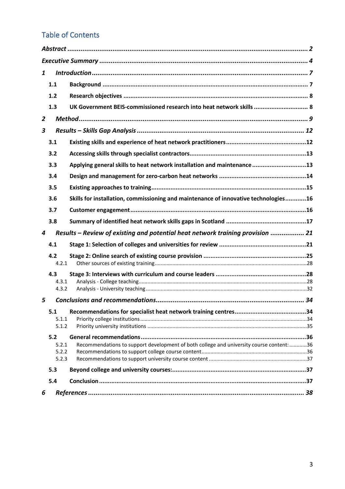# Table of Contents

| 1              |              |                                                                                          |  |
|----------------|--------------|------------------------------------------------------------------------------------------|--|
|                | 1.1          |                                                                                          |  |
|                | 1.2          |                                                                                          |  |
|                | 1.3          | UK Government BEIS-commissioned research into heat network skills  8                     |  |
| $\overline{2}$ |              |                                                                                          |  |
| 3              |              |                                                                                          |  |
|                | 3.1          |                                                                                          |  |
|                | 3.2          |                                                                                          |  |
|                | 3.3          | Applying general skills to heat network installation and maintenance13                   |  |
|                | 3.4          |                                                                                          |  |
|                | 3.5          |                                                                                          |  |
|                | 3.6          | Skills for installation, commissioning and maintenance of innovative technologies16      |  |
|                | 3.7          |                                                                                          |  |
|                | 3.8          |                                                                                          |  |
| 4              |              | Results – Review of existing and potential heat network training provision  21           |  |
|                | 4.1          |                                                                                          |  |
|                | 4.2          |                                                                                          |  |
|                | 4.2.1        |                                                                                          |  |
|                | 4.3<br>4.3.1 |                                                                                          |  |
|                | 4.3.2        |                                                                                          |  |
| 5              |              |                                                                                          |  |
|                | 5.1          |                                                                                          |  |
|                | 5.1.1        |                                                                                          |  |
|                | 5.1.2        |                                                                                          |  |
|                | 5.2          |                                                                                          |  |
|                | 5.2.1        | Recommendations to support development of both college and university course content: 36 |  |
|                | 5.2.2        |                                                                                          |  |
|                | 5.2.3<br>5.3 |                                                                                          |  |
|                | 5.4          |                                                                                          |  |
|                |              |                                                                                          |  |
| 6              |              |                                                                                          |  |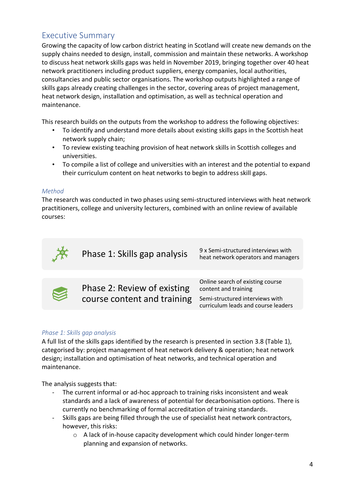# <span id="page-3-0"></span>Executive Summary

Growing the capacity of low carbon district heating in Scotland will create new demands on the supply chains needed to design, install, commission and maintain these networks. A workshop to discuss heat network skills gaps was held in November 2019, bringing together over 40 heat network practitioners including product suppliers, energy companies, local authorities, consultancies and public sector organisations. The workshop outputs highlighted a range of skills gaps already creating challenges in the sector, covering areas of project management, heat network design, installation and optimisation, as well as technical operation and maintenance.

This research builds on the outputs from the workshop to address the following objectives:

- To identify and understand more details about existing skills gaps in the Scottish heat network supply chain;
- To review existing teaching provision of heat network skills in Scottish colleges and universities.
- To compile a list of college and universities with an interest and the potential to expand their curriculum content on heat networks to begin to address skill gaps.

#### *Method*

The research was conducted in two phases using semi-structured interviews with heat network practitioners, college and university lecturers, combined with an online review of available courses:



Phase 1: Skills gap analysis 9x Semi-structured interviews with heat network operators and managers



Phase 2: Review of existing course content and training

Online search of existing course content and training Semi-structured interviews with curriculum leads and course leaders

#### *Phase 1: Skills gap analysis*

A full list of the skills gaps identified by the research is presented in section [3.8](#page-16-0) [\(Table 1\)](#page-17-0), categorised by: project management of heat network delivery & operation; heat network design; installation and optimisation of heat networks, and technical operation and maintenance.

The analysis suggests that:

- The current informal or ad-hoc approach to training risks inconsistent and weak standards and a lack of awareness of potential for decarbonisation options. There is currently no benchmarking of formal accreditation of training standards.
- Skills gaps are being filled through the use of specialist heat network contractors, however, this risks:
	- o A lack of in-house capacity development which could hinder longer-term planning and expansion of networks.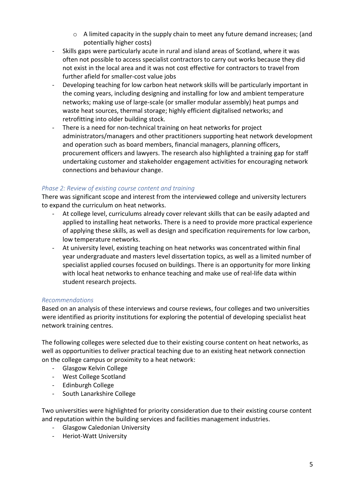- $\circ$  A limited capacity in the supply chain to meet any future demand increases; (and potentially higher costs)
- Skills gaps were particularly acute in rural and island areas of Scotland, where it was often not possible to access specialist contractors to carry out works because they did not exist in the local area and it was not cost effective for contractors to travel from further afield for smaller-cost value jobs
- Developing teaching for low carbon heat network skills will be particularly important in the coming years, including designing and installing for low and ambient temperature networks; making use of large-scale (or smaller modular assembly) heat pumps and waste heat sources, thermal storage; highly efficient digitalised networks; and retrofitting into older building stock.
- There is a need for non-technical training on heat networks for project administrators/managers and other practitioners supporting heat network development and operation such as board members, financial managers, planning officers, procurement officers and lawyers. The research also highlighted a training gap for staff undertaking customer and stakeholder engagement activities for encouraging network connections and behaviour change.

### *Phase 2: Review of existing course content and training*

There was significant scope and interest from the interviewed college and university lecturers to expand the curriculum on heat networks.

- At college level, curriculums already cover relevant skills that can be easily adapted and applied to installing heat networks. There is a need to provide more practical experience of applying these skills, as well as design and specification requirements for low carbon, low temperature networks.
- At university level, existing teaching on heat networks was concentrated within final year undergraduate and masters level dissertation topics, as well as a limited number of specialist applied courses focused on buildings. There is an opportunity for more linking with local heat networks to enhance teaching and make use of real-life data within student research projects.

### *Recommendations*

Based on an analysis of these interviews and course reviews, four colleges and two universities were identified as priority institutions for exploring the potential of developing specialist heat network training centres.

The following colleges were selected due to their existing course content on heat networks, as well as opportunities to deliver practical teaching due to an existing heat network connection on the college campus or proximity to a heat network:

- Glasgow Kelvin College
- West College Scotland
- Edinburgh College
- South Lanarkshire College

Two universities were highlighted for priority consideration due to their existing course content and reputation within the building services and facilities management industries.

- Glasgow Caledonian University
- Heriot-Watt University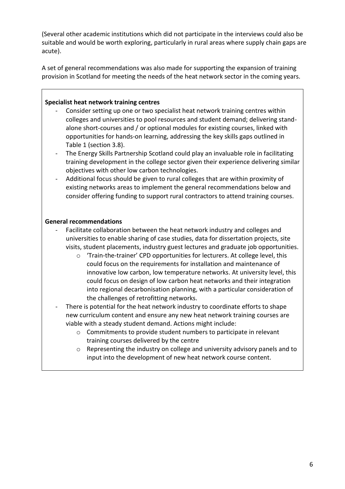(Several other academic institutions which did not participate in the interviews could also be suitable and would be worth exploring, particularly in rural areas where supply chain gaps are acute).

A set of general recommendations was also made for supporting the expansion of training provision in Scotland for meeting the needs of the heat network sector in the coming years.

#### **Specialist heat network training centres**

- Consider setting up one or two specialist heat network training centres within colleges and universities to pool resources and student demand; delivering standalone short-courses and / or optional modules for existing courses, linked with opportunities for hands-on learning, addressing the key skills gaps outlined in [Table 1](#page-17-0) (section [3.8\)](#page-16-0).
- The Energy Skills Partnership Scotland could play an invaluable role in facilitating training development in the college sector given their experience delivering similar objectives with other low carbon technologies.
- Additional focus should be given to rural colleges that are within proximity of existing networks areas to implement the general recommendations below and consider offering funding to support rural contractors to attend training courses.

#### **General recommendations**

- Facilitate collaboration between the heat network industry and colleges and universities to enable sharing of case studies, data for dissertation projects, site visits, student placements, industry guest lectures and graduate job opportunities.
	- o 'Train-the-trainer' CPD opportunities for lecturers. At college level, this could focus on the requirements for installation and maintenance of innovative low carbon, low temperature networks. At university level, this could focus on design of low carbon heat networks and their integration into regional decarbonisation planning, with a particular consideration of the challenges of retrofitting networks.
- There is potential for the heat network industry to coordinate efforts to shape new curriculum content and ensure any new heat network training courses are viable with a steady student demand. Actions might include:
	- o Commitments to provide student numbers to participate in relevant training courses delivered by the centre
	- o Representing the industry on college and university advisory panels and to input into the development of new heat network course content.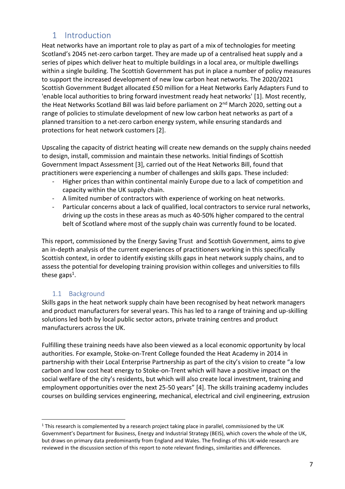# 1 Introduction

<span id="page-6-0"></span>Heat networks have an important role to play as part of a mix of technologies for meeting Scotland's 2045 net-zero carbon target. They are made up of a centralised heat supply and a series of pipes which deliver heat to multiple buildings in a local area, or multiple dwellings within a single building. The Scottish Government has put in place a number of policy measures to support the increased development of new low carbon heat networks. The 2020/2021 Scottish Government Budget allocated £50 million for a Heat Networks Early Adapters Fund to 'enable local authorities to bring forward investment ready heat networks' [1]. Most recently, the Heat Networks Scotland Bill was laid before parliament on 2<sup>nd</sup> March 2020, setting out a range of policies to stimulate development of new low carbon heat networks as part of a planned transition to a net-zero carbon energy system, while ensuring standards and protections for heat network customers [2].

Upscaling the capacity of district heating will create new demands on the supply chains needed to design, install, commission and maintain these networks. Initial findings of Scottish Government Impact Assessment [3], carried out of the Heat Networks Bill, found that practitioners were experiencing a number of challenges and skills gaps. These included:

- Higher prices than within continental mainly Europe due to a lack of competition and capacity within the UK supply chain.
- A limited number of contractors with experience of working on heat networks.
- Particular concerns about a lack of qualified, local contractors to service rural networks, driving up the costs in these areas as much as 40-50% higher compared to the central belt of Scotland where most of the supply chain was currently found to be located.

This report, commissioned by the Energy Saving Trust and Scottish Government, aims to give an in-depth analysis of the current experiences of practitioners working in this specifically Scottish context, in order to identify existing skills gaps in heat network supply chains, and to assess the potential for developing training provision within colleges and universities to fills these gaps<sup>1</sup>.

## 1.1 Background

<span id="page-6-1"></span>Skills gaps in the heat network supply chain have been recognised by heat network managers and product manufacturers for several years. This has led to a range of training and up-skilling solutions led both by local public sector actors, private training centres and product manufacturers across the UK.

Fulfilling these training needs have also been viewed as a local economic opportunity by local authorities. For example, Stoke-on-Trent College founded the Heat Academy in 2014 in partnership with their Local Enterprise Partnership as part of the city's vision to create "a low carbon and low cost heat energy to Stoke-on-Trent which will have a positive impact on the social welfare of the city's residents, but which will also create local investment, training and employment opportunities over the next 25-50 years" [4]. The skills training academy includes courses on building services engineering, mechanical, electrical and civil engineering, extrusion

<sup>&</sup>lt;sup>1</sup> This research is complemented by a research project taking place in parallel, commissioned by the UK Government's Department for Business, Energy and Industrial Strategy (BEIS), which covers the whole of the UK, but draws on primary data predominantly from England and Wales. The findings of this UK-wide research are reviewed in the discussion section of this report to note relevant findings, similarities and differences.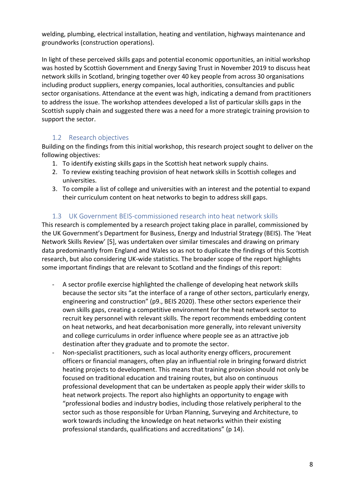welding, plumbing, electrical installation, heating and ventilation, highways maintenance and groundworks (construction operations).

In light of these perceived skills gaps and potential economic opportunities, an initial workshop was hosted by Scottish Government and Energy Saving Trust in November 2019 to discuss heat network skills in Scotland, bringing together over 40 key people from across 30 organisations including product suppliers, energy companies, local authorities, consultancies and public sector organisations. Attendance at the event was high, indicating a demand from practitioners to address the issue. The workshop attendees developed a list of particular skills gaps in the Scottish supply chain and suggested there was a need for a more strategic training provision to support the sector.

## 1.2 Research objectives

<span id="page-7-0"></span>Building on the findings from this initial workshop, this research project sought to deliver on the following objectives:

- 1. To identify existing skills gaps in the Scottish heat network supply chains.
- 2. To review existing teaching provision of heat network skills in Scottish colleges and universities.
- 3. To compile a list of college and universities with an interest and the potential to expand their curriculum content on heat networks to begin to address skill gaps.

## 1.3 UK Government BEIS-commissioned research into heat network skills

<span id="page-7-1"></span>This research is complemented by a research project taking place in parallel, commissioned by the UK Government's Department for Business, Energy and Industrial Strategy (BEIS). The 'Heat Network Skills Review' [5], was undertaken over similar timescales and drawing on primary data predominantly from England and Wales so as not to duplicate the findings of this Scottish research, but also considering UK-wide statistics. The broader scope of the report highlights some important findings that are relevant to Scotland and the findings of this report:

- A sector profile exercise highlighted the challenge of developing heat network skills because the sector sits "at the interface of a range of other sectors, particularly energy, engineering and construction" (p9., BEIS 2020). These other sectors experience their own skills gaps, creating a competitive environment for the heat network sector to recruit key personnel with relevant skills. The report recommends embedding content on heat networks, and heat decarbonisation more generally, into relevant university and college curriculums in order influence where people see as an attractive job destination after they graduate and to promote the sector.
- Non-specialist practitioners, such as local authority energy officers, procurement officers or financial managers, often play an influential role in bringing forward district heating projects to development. This means that training provision should not only be focused on traditional education and training routes, but also on continuous professional development that can be undertaken as people apply their wider skills to heat network projects. The report also highlights an opportunity to engage with "professional bodies and industry bodies, including those relatively peripheral to the sector such as those responsible for Urban Planning, Surveying and Architecture, to work towards including the knowledge on heat networks within their existing professional standards, qualifications and accreditations" (p 14).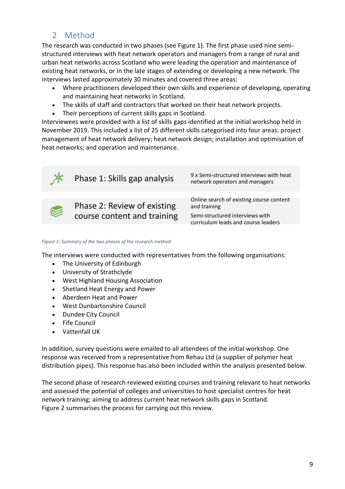# 2 Method

<span id="page-8-0"></span>The research was conducted in two phases (see [Figure 1\)](#page-8-1). The first phase used nine semistructured interviews with heat network operators and managers from a range of rural and urban heat networks across Scotland who were leading the operation and maintenance of existing heat networks, or in the late stages of extending or developing a new network. The interviews lasted approximately 30 minutes and covered three areas:

- Where practitioners developed their own skills and experience of developing, operating and maintaining heat networks in Scotland.
- The skills of staff and contractors that worked on their heat network projects.
- Their perceptions of current skills gaps in Scotland.

Interviewees were provided with a list of skills gaps identified at the initial workshop held in November 2019. This included a list of 25 different skills categorised into four areas: project management of heat network delivery; heat network design; installation and optimisation of heat networks; and operation and maintenance.



<span id="page-8-1"></span>*Figure 1: Summary of the two phases of the research method.*

The interviews were conducted with representatives from the following organisations:

- The University of Edinburgh
- University of Strathclyde
- West Highland Housing Association
- Shetland Heat Energy and Power
- Aberdeen Heat and Power
- West Dunbartonshire Council
- Dundee City Council
- Fife Council
- Vattenfall UK

In addition, survey questions were emailed to all attendees of the initial workshop. One response was received from a representative from Rehau Ltd (a supplier of polymer heat distribution pipes). This response has also been included within the analysis presented below.

The second phase of research reviewed existing courses and training relevant to heat networks and assessed the potential of colleges and universities to host specialist centres for heat network training; aiming to address current heat network skills gaps in Scotland. [Figure 2](#page-9-0) summarises the process for carrying out this review.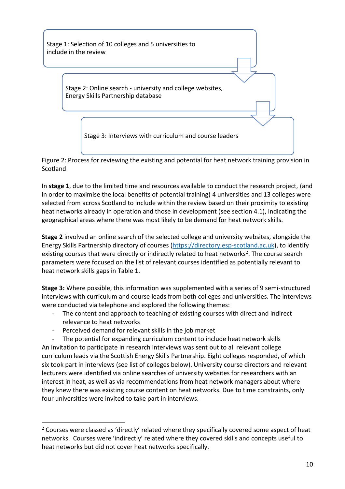

<span id="page-9-0"></span>Figure 2: Process for reviewing the existing and potential for heat network training provision in **Scotland** 

In **stage 1**, due to the limited time and resources available to conduct the research project, (and in order to maximise the local benefits of potential training) 4 universities and 13 colleges were selected from across Scotland to include within the review based on their proximity to existing heat networks already in operation and those in development (see sectio[n 4.1\)](#page-20-1), indicating the geographical areas where there was most likely to be demand for heat network skills.

**Stage 2** involved an online search of the selected college and university websites, alongside the Energy Skills Partnership directory of courses [\(https://directory.esp-scotland.ac.uk\)](https://directory.esp-scotland.ac.uk/), to identify existing courses that were directly or indirectly related to heat networks<sup>2</sup>. The course search parameters were focused on the list of relevant courses identified as potentially relevant to heat network skills gaps in [Table 1.](#page-17-0)

**Stage 3:** Where possible, this information was supplemented with a series of 9 semi-structured interviews with curriculum and course leads from both colleges and universities. The interviews were conducted via telephone and explored the following themes:

- The content and approach to teaching of existing courses with direct and indirect relevance to heat networks
- Perceived demand for relevant skills in the job market

The potential for expanding curriculum content to include heat network skills An invitation to participate in research interviews was sent out to all relevant college curriculum leads via the Scottish Energy Skills Partnership. Eight colleges responded, of which six took part in interviews (see list of colleges below). University course directors and relevant lecturers were identified via online searches of university websites for researchers with an interest in heat, as well as via recommendations from heat network managers about where they knew there was existing course content on heat networks. Due to time constraints, only four universities were invited to take part in interviews.

<sup>&</sup>lt;sup>2</sup> Courses were classed as 'directly' related where they specifically covered some aspect of heat networks. Courses were 'indirectly' related where they covered skills and concepts useful to heat networks but did not cover heat networks specifically.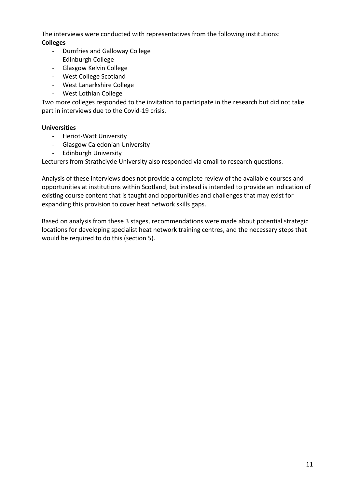The interviews were conducted with representatives from the following institutions: **Colleges**

- Dumfries and Galloway College
- Edinburgh College
- Glasgow Kelvin College
- West College Scotland
- West Lanarkshire College
- West Lothian College

Two more colleges responded to the invitation to participate in the research but did not take part in interviews due to the Covid-19 crisis.

#### **Universities**

- Heriot-Watt University
- Glasgow Caledonian University
- Edinburgh University

Lecturers from Strathclyde University also responded via email to research questions.

Analysis of these interviews does not provide a complete review of the available courses and opportunities at institutions within Scotland, but instead is intended to provide an indication of existing course content that is taught and opportunities and challenges that may exist for expanding this provision to cover heat network skills gaps.

Based on analysis from these 3 stages, recommendations were made about potential strategic locations for developing specialist heat network training centres, and the necessary steps that would be required to do this (section [5\)](#page-33-0).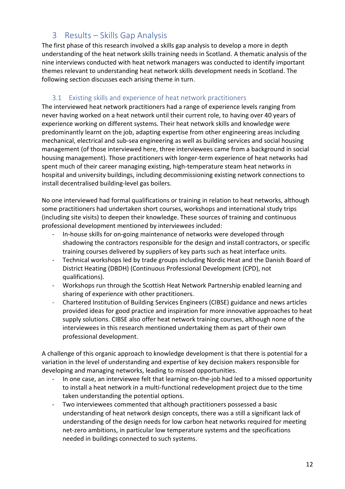# 3 Results – Skills Gap Analysis

<span id="page-11-0"></span>The first phase of this research involved a skills gap analysis to develop a more in depth understanding of the heat network skills training needs in Scotland. A thematic analysis of the nine interviews conducted with heat network managers was conducted to identify important themes relevant to understanding heat network skills development needs in Scotland. The following section discusses each arising theme in turn.

### 3.1 Existing skills and experience of heat network practitioners

<span id="page-11-1"></span>The interviewed heat network practitioners had a range of experience levels ranging from never having worked on a heat network until their current role, to having over 40 years of experience working on different systems. Their heat network skills and knowledge were predominantly learnt on the job, adapting expertise from other engineering areas including mechanical, electrical and sub-sea engineering as well as building services and social housing management (of those interviewed here, three interviewees came from a background in social housing management). Those practitioners with longer-term experience of heat networks had spent much of their career managing existing, high-temperature steam heat networks in hospital and university buildings, including decommissioning existing network connections to install decentralised building-level gas boilers.

No one interviewed had formal qualifications or training in relation to heat networks, although some practitioners had undertaken short courses, workshops and international study trips (including site visits) to deepen their knowledge. These sources of training and continuous professional development mentioned by interviewees included:

- In-house skills for on-going maintenance of networks were developed through shadowing the contractors responsible for the design and install contractors, or specific training courses delivered by suppliers of key parts such as heat interface units.
- Technical workshops led by trade groups including Nordic Heat and the Danish Board of District Heating (DBDH) (Continuous Professional Development (CPD), not qualifications).
- Workshops run through the Scottish Heat Network Partnership enabled learning and sharing of experience with other practitioners.
- Chartered Institution of Building Services Engineers (CIBSE) guidance and news articles provided ideas for good practice and inspiration for more innovative approaches to heat supply solutions. CIBSE also offer heat network training courses, although none of the interviewees in this research mentioned undertaking them as part of their own professional development.

A challenge of this organic approach to knowledge development is that there is potential for a variation in the level of understanding and expertise of key decision makers responsible for developing and managing networks, leading to missed opportunities.

- In one case, an interviewee felt that learning on-the-job had led to a missed opportunity to install a heat network in a multi-functional redevelopment project due to the time taken understanding the potential options.
- Two interviewees commented that although practitioners possessed a basic understanding of heat network design concepts, there was a still a significant lack of understanding of the design needs for low carbon heat networks required for meeting net-zero ambitions, in particular low temperature systems and the specifications needed in buildings connected to such systems.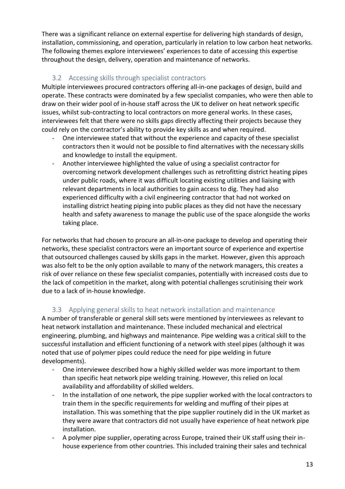There was a significant reliance on external expertise for delivering high standards of design, installation, commissioning, and operation, particularly in relation to low carbon heat networks. The following themes explore interviewees' experiences to date of accessing this expertise throughout the design, delivery, operation and maintenance of networks.

# 3.2 Accessing skills through specialist contractors

<span id="page-12-0"></span>Multiple interviewees procured contractors offering all-in-one packages of design, build and operate. These contracts were dominated by a few specialist companies, who were then able to draw on their wider pool of in-house staff across the UK to deliver on heat network specific issues, whilst sub-contracting to local contractors on more general works. In these cases, interviewees felt that there were no skills gaps directly affecting their projects because they could rely on the contractor's ability to provide key skills as and when required.

- One interviewee stated that without the experience and capacity of these specialist contractors then it would not be possible to find alternatives with the necessary skills and knowledge to install the equipment.
- Another interviewee highlighted the value of using a specialist contractor for overcoming network development challenges such as retrofitting district heating pipes under public roads, where it was difficult locating existing utilities and liaising with relevant departments in local authorities to gain access to dig. They had also experienced difficulty with a civil engineering contractor that had not worked on installing district heating piping into public places as they did not have the necessary health and safety awareness to manage the public use of the space alongside the works taking place.

For networks that had chosen to procure an all-in-one package to develop and operating their networks, these specialist contractors were an important source of experience and expertise that outsourced challenges caused by skills gaps in the market. However, given this approach was also felt to be the only option available to many of the network managers, this creates a risk of over reliance on these few specialist companies, potentially with increased costs due to the lack of competition in the market, along with potential challenges scrutinising their work due to a lack of in-house knowledge.

# 3.3 Applying general skills to heat network installation and maintenance

<span id="page-12-1"></span>A number of transferable or general skill sets were mentioned by interviewees as relevant to heat network installation and maintenance. These included mechanical and electrical engineering, plumbing, and highways and maintenance. Pipe welding was a critical skill to the successful installation and efficient functioning of a network with steel pipes (although it was noted that use of polymer pipes could reduce the need for pipe welding in future developments).

- One interviewee described how a highly skilled welder was more important to them than specific heat network pipe welding training. However, this relied on local availability and affordability of skilled welders.
- In the installation of one network, the pipe supplier worked with the local contractors to train them in the specific requirements for welding and muffing of their pipes at installation. This was something that the pipe supplier routinely did in the UK market as they were aware that contractors did not usually have experience of heat network pipe installation.
- A polymer pipe supplier, operating across Europe, trained their UK staff using their inhouse experience from other countries. This included training their sales and technical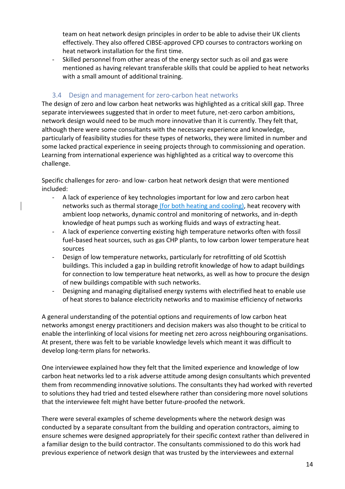team on heat network design principles in order to be able to advise their UK clients effectively. They also offered CIBSE-approved CPD courses to contractors working on heat network installation for the first time.

Skilled personnel from other areas of the energy sector such as oil and gas were mentioned as having relevant transferable skills that could be applied to heat networks with a small amount of additional training.

#### 3.4 Design and management for zero-carbon heat networks

<span id="page-13-0"></span>The design of zero and low carbon heat networks was highlighted as a critical skill gap. Three separate interviewees suggested that in order to meet future, net-zero carbon ambitions, network design would need to be much more innovative than it is currently. They felt that, although there were some consultants with the necessary experience and knowledge, particularly of feasibility studies for these types of networks, they were limited in number and some lacked practical experience in seeing projects through to commissioning and operation. Learning from international experience was highlighted as a critical way to overcome this challenge.

Specific challenges for zero- and low- carbon heat network design that were mentioned included:

- A lack of experience of key technologies important for low and zero carbon heat networks such as thermal storage (for both heating and cooling), heat recovery with ambient loop networks, dynamic control and monitoring of networks, and in-depth knowledge of heat pumps such as working fluids and ways of extracting heat.
- A lack of experience converting existing high temperature networks often with fossil fuel-based heat sources, such as gas CHP plants, to low carbon lower temperature heat sources
- Design of low temperature networks, particularly for retrofitting of old Scottish buildings. This included a gap in building retrofit knowledge of how to adapt buildings for connection to low temperature heat networks, as well as how to procure the design of new buildings compatible with such networks.
- Designing and managing digitalised energy systems with electrified heat to enable use of heat stores to balance electricity networks and to maximise efficiency of networks

A general understanding of the potential options and requirements of low carbon heat networks amongst energy practitioners and decision makers was also thought to be critical to enable the interlinking of local visions for meeting net zero across neighbouring organisations. At present, there was felt to be variable knowledge levels which meant it was difficult to develop long-term plans for networks.

One interviewee explained how they felt that the limited experience and knowledge of low carbon heat networks led to a risk adverse attitude among design consultants which prevented them from recommending innovative solutions. The consultants they had worked with reverted to solutions they had tried and tested elsewhere rather than considering more novel solutions that the interviewee felt might have better future-proofed the network.

There were several examples of scheme developments where the network design was conducted by a separate consultant from the building and operation contractors, aiming to ensure schemes were designed appropriately for their specific context rather than delivered in a familiar design to the build contractor. The consultants commissioned to do this work had previous experience of network design that was trusted by the interviewees and external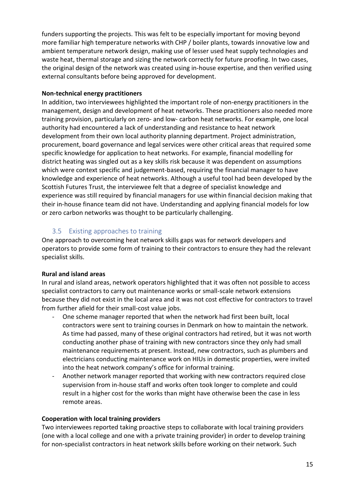funders supporting the projects. This was felt to be especially important for moving beyond more familiar high temperature networks with CHP / boiler plants, towards innovative low and ambient temperature network design, making use of lesser used heat supply technologies and waste heat, thermal storage and sizing the network correctly for future proofing. In two cases, the original design of the network was created using in-house expertise, and then verified using external consultants before being approved for development.

#### **Non-technical energy practitioners**

In addition, two interviewees highlighted the important role of non-energy practitioners in the management, design and development of heat networks. These practitioners also needed more training provision, particularly on zero- and low- carbon heat networks. For example, one local authority had encountered a lack of understanding and resistance to heat network development from their own local authority planning department. Project administration, procurement, board governance and legal services were other critical areas that required some specific knowledge for application to heat networks. For example, financial modelling for district heating was singled out as a key skills risk because it was dependent on assumptions which were context specific and judgement-based, requiring the financial manager to have knowledge and experience of heat networks. Although a useful tool had been developed by the Scottish Futures Trust, the interviewee felt that a degree of specialist knowledge and experience was still required by financial managers for use within financial decision making that their in-house finance team did not have. Understanding and applying financial models for low or zero carbon networks was thought to be particularly challenging.

## 3.5 Existing approaches to training

<span id="page-14-0"></span>One approach to overcoming heat network skills gaps was for network developers and operators to provide some form of training to their contractors to ensure they had the relevant specialist skills.

#### **Rural and island areas**

In rural and island areas, network operators highlighted that it was often not possible to access specialist contractors to carry out maintenance works or small-scale network extensions because they did not exist in the local area and it was not cost effective for contractors to travel from further afield for their small-cost value jobs.

- One scheme manager reported that when the network had first been built, local contractors were sent to training courses in Denmark on how to maintain the network. As time had passed, many of these original contractors had retired, but it was not worth conducting another phase of training with new contractors since they only had small maintenance requirements at present. Instead, new contractors, such as plumbers and electricians conducting maintenance work on HIUs in domestic properties, were invited into the heat network company's office for informal training.
- Another network manager reported that working with new contractors required close supervision from in-house staff and works often took longer to complete and could result in a higher cost for the works than might have otherwise been the case in less remote areas.

#### **Cooperation with local training providers**

Two interviewees reported taking proactive steps to collaborate with local training providers (one with a local college and one with a private training provider) in order to develop training for non-specialist contractors in heat network skills before working on their network. Such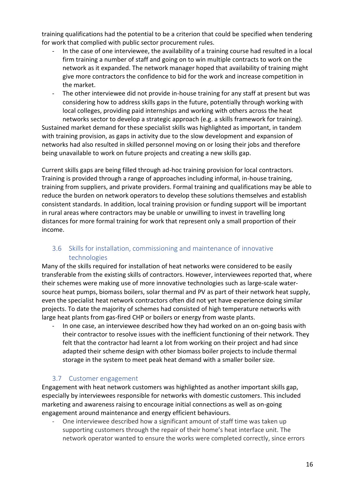training qualifications had the potential to be a criterion that could be specified when tendering for work that complied with public sector procurement rules.

- In the case of one interviewee, the availability of a training course had resulted in a local firm training a number of staff and going on to win multiple contracts to work on the network as it expanded. The network manager hoped that availability of training might give more contractors the confidence to bid for the work and increase competition in the market.
- The other interviewee did not provide in-house training for any staff at present but was considering how to address skills gaps in the future, potentially through working with local colleges, providing paid internships and working with others across the heat networks sector to develop a strategic approach (e.g. a skills framework for training).

Sustained market demand for these specialist skills was highlighted as important, in tandem with training provision, as gaps in activity due to the slow development and expansion of networks had also resulted in skilled personnel moving on or losing their jobs and therefore being unavailable to work on future projects and creating a new skills gap.

Current skills gaps are being filled through ad-hoc training provision for local contractors. Training is provided through a range of approaches including informal, in-house training, training from suppliers, and private providers. Formal training and qualifications may be able to reduce the burden on network operators to develop these solutions themselves and establish consistent standards. In addition, local training provision or funding support will be important in rural areas where contractors may be unable or unwilling to invest in travelling long distances for more formal training for work that represent only a small proportion of their income.

## <span id="page-15-0"></span>3.6 Skills for installation, commissioning and maintenance of innovative technologies

Many of the skills required for installation of heat networks were considered to be easily transferable from the existing skills of contractors. However, interviewees reported that, where their schemes were making use of more innovative technologies such as large-scale watersource heat pumps, biomass boilers, solar thermal and PV as part of their network heat supply, even the specialist heat network contractors often did not yet have experience doing similar projects. To date the majority of schemes had consisted of high temperature networks with large heat plants from gas-fired CHP or boilers or energy from waste plants.

In one case, an interviewee described how they had worked on an on-going basis with their contractor to resolve issues with the inefficient functioning of their network. They felt that the contractor had learnt a lot from working on their project and had since adapted their scheme design with other biomass boiler projects to include thermal storage in the system to meet peak heat demand with a smaller boiler size.

### <span id="page-15-1"></span>3.7 Customer engagement

Engagement with heat network customers was highlighted as another important skills gap, especially by interviewees responsible for networks with domestic customers. This included marketing and awareness raising to encourage initial connections as well as on-going engagement around maintenance and energy efficient behaviours.

One interviewee described how a significant amount of staff time was taken up supporting customers through the repair of their home's heat interface unit. The network operator wanted to ensure the works were completed correctly, since errors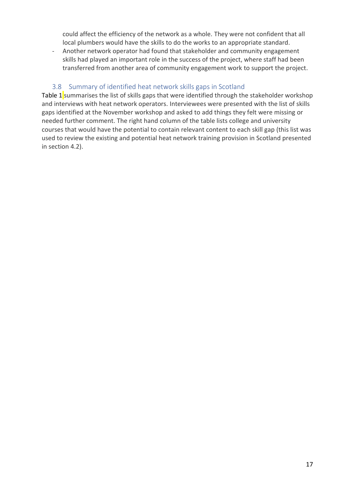could affect the efficiency of the network as a whole. They were not confident that all local plumbers would have the skills to do the works to an appropriate standard.

- Another network operator had found that stakeholder and community engagement skills had played an important role in the success of the project, where staff had been transferred from another area of community engagement work to support the project.

## 3.8 Summary of identified heat network skills gaps in Scotland

<span id="page-16-0"></span>[Table 1](#page-17-0) summarises the list of skills gaps that were identified through the stakeholder workshop and interviews with heat network operators. Interviewees were presented with the list of skills gaps identified at the November workshop and asked to add things they felt were missing or needed further comment. The right hand column of the table lists college and university courses that would have the potential to contain relevant content to each skill gap (this list was used to review the existing and potential heat network training provision in Scotland presented in section [4.2\)](#page-24-0).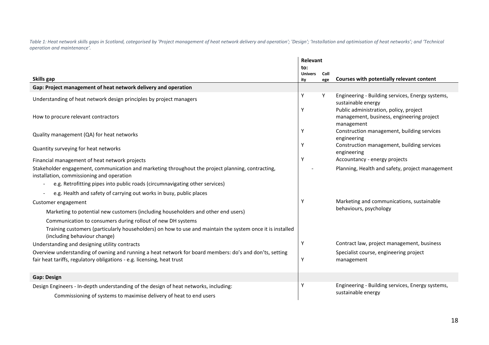*Table 1: Heat network skills gaps in Scotland, categorised by 'Project management of heat network delivery and operation'; 'Design'; 'Installation and optimisation of heat networks'; and 'Technical operation and maintenance'.*

<span id="page-17-0"></span>

|                                                                                                                                                                                   | Relevant              |      |                                                                                                   |
|-----------------------------------------------------------------------------------------------------------------------------------------------------------------------------------|-----------------------|------|---------------------------------------------------------------------------------------------------|
|                                                                                                                                                                                   | to:<br><b>Univers</b> | Coll |                                                                                                   |
| Skills gap                                                                                                                                                                        | ity                   | ege  | Courses with potentially relevant content                                                         |
| Gap: Project management of heat network delivery and operation                                                                                                                    |                       |      |                                                                                                   |
| Understanding of heat network design principles by project managers                                                                                                               | Y                     | Y    | Engineering - Building services, Energy systems,<br>sustainable energy                            |
| How to procure relevant contractors                                                                                                                                               | Y                     |      | Public administration, policy, project<br>management, business, engineering project<br>management |
| Quality management (QA) for heat networks                                                                                                                                         | Y                     |      | Construction management, building services<br>engineering                                         |
| Quantity surveying for heat networks                                                                                                                                              | Y                     |      | Construction management, building services<br>engineering                                         |
| Financial management of heat network projects                                                                                                                                     | Y                     |      | Accountancy - energy projects                                                                     |
| Stakeholder engagement, communication and marketing throughout the project planning, contracting,<br>installation, commissioning and operation                                    |                       |      | Planning, Health and safety, project management                                                   |
| e.g. Retrofitting pipes into public roads (circumnavigating other services)                                                                                                       |                       |      |                                                                                                   |
| e.g. Health and safety of carrying out works in busy, public places                                                                                                               |                       |      |                                                                                                   |
| Customer engagement                                                                                                                                                               | Y                     |      | Marketing and communications, sustainable                                                         |
| Marketing to potential new customers (including householders and other end users)                                                                                                 |                       |      | behaviours, psychology                                                                            |
| Communication to consumers during rollout of new DH systems                                                                                                                       |                       |      |                                                                                                   |
| Training customers (particularly householders) on how to use and maintain the system once it is installed<br>(including behaviour change)                                         |                       |      |                                                                                                   |
| Understanding and designing utility contracts                                                                                                                                     | Y                     |      | Contract law, project management, business                                                        |
| Overview understanding of owning and running a heat network for board members: do's and don'ts, setting<br>fair heat tariffs, regulatory obligations - e.g. licensing, heat trust | Y                     |      | Specialist course, engineering project<br>management                                              |
| <b>Gap: Design</b>                                                                                                                                                                |                       |      |                                                                                                   |
| Design Engineers - In-depth understanding of the design of heat networks, including:<br>Commissioning of systems to maximise delivery of heat to end users                        | Υ                     |      | Engineering - Building services, Energy systems,<br>sustainable energy                            |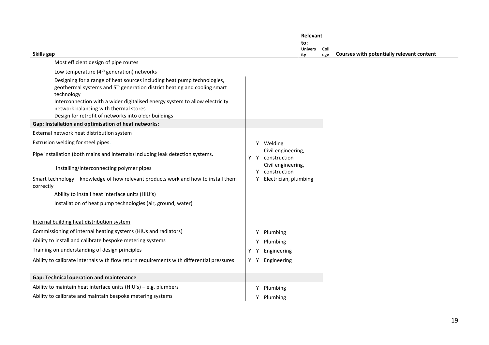|                                                                                                                                                                                                                                                                                                                                                               |                                        |                                         | Relevant              |                       |                                           |  |  |  |
|---------------------------------------------------------------------------------------------------------------------------------------------------------------------------------------------------------------------------------------------------------------------------------------------------------------------------------------------------------------|----------------------------------------|-----------------------------------------|-----------------------|-----------------------|-------------------------------------------|--|--|--|
|                                                                                                                                                                                                                                                                                                                                                               |                                        |                                         |                       | to:<br><b>Univers</b> | Coll                                      |  |  |  |
| Skills gap                                                                                                                                                                                                                                                                                                                                                    |                                        |                                         | ity                   | ege                   | Courses with potentially relevant content |  |  |  |
| Most efficient design of pipe routes                                                                                                                                                                                                                                                                                                                          |                                        |                                         |                       |                       |                                           |  |  |  |
| Low temperature (4 <sup>th</sup> generation) networks                                                                                                                                                                                                                                                                                                         |                                        |                                         |                       |                       |                                           |  |  |  |
| Designing for a range of heat sources including heat pump technologies,<br>geothermal systems and 5 <sup>th</sup> generation district heating and cooling smart<br>technology<br>Interconnection with a wider digitalised energy system to allow electricity<br>network balancing with thermal stores<br>Design for retrofit of networks into older buildings |                                        |                                         |                       |                       |                                           |  |  |  |
| Gap: Installation and optimisation of heat networks:                                                                                                                                                                                                                                                                                                          |                                        |                                         |                       |                       |                                           |  |  |  |
| External network heat distribution system                                                                                                                                                                                                                                                                                                                     |                                        |                                         |                       |                       |                                           |  |  |  |
| Extrusion welding for steel pipes.                                                                                                                                                                                                                                                                                                                            |                                        |                                         | Y Welding             |                       |                                           |  |  |  |
| Pipe installation (both mains and internals) including leak detection systems.                                                                                                                                                                                                                                                                                | Civil engineering,<br>Y Y construction |                                         |                       |                       |                                           |  |  |  |
| Installing/interconnecting polymer pipes                                                                                                                                                                                                                                                                                                                      |                                        | Civil engineering,<br>construction<br>Y |                       |                       |                                           |  |  |  |
| Smart technology - knowledge of how relevant products work and how to install them<br>correctly                                                                                                                                                                                                                                                               |                                        |                                         | Electrician, plumbing |                       |                                           |  |  |  |
| Ability to install heat interface units (HIU's)                                                                                                                                                                                                                                                                                                               |                                        |                                         |                       |                       |                                           |  |  |  |
| Installation of heat pump technologies (air, ground, water)                                                                                                                                                                                                                                                                                                   |                                        |                                         |                       |                       |                                           |  |  |  |
| Internal building heat distribution system                                                                                                                                                                                                                                                                                                                    |                                        |                                         |                       |                       |                                           |  |  |  |
| Commissioning of internal heating systems (HIUs and radiators)                                                                                                                                                                                                                                                                                                |                                        | Y                                       | Plumbing              |                       |                                           |  |  |  |
| Ability to install and calibrate bespoke metering systems                                                                                                                                                                                                                                                                                                     |                                        |                                         | Plumbing              |                       |                                           |  |  |  |
| Training on understanding of design principles                                                                                                                                                                                                                                                                                                                | Y                                      |                                         | Engineering           |                       |                                           |  |  |  |
| Ability to calibrate internals with flow return requirements with differential pressures                                                                                                                                                                                                                                                                      |                                        | YY                                      | Engineering           |                       |                                           |  |  |  |
| Gap: Technical operation and maintenance                                                                                                                                                                                                                                                                                                                      |                                        |                                         |                       |                       |                                           |  |  |  |
| Ability to maintain heat interface units (HIU's) - e.g. plumbers                                                                                                                                                                                                                                                                                              |                                        | Y                                       | Plumbing              |                       |                                           |  |  |  |
| Ability to calibrate and maintain bespoke metering systems                                                                                                                                                                                                                                                                                                    |                                        |                                         | Plumbing              |                       |                                           |  |  |  |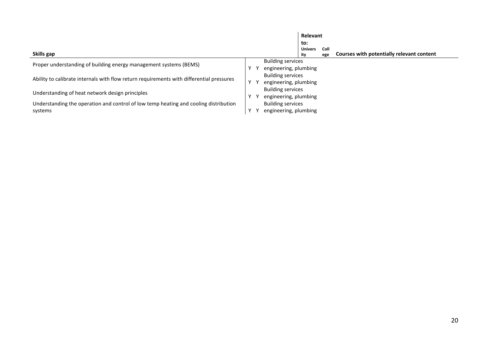|                                                                                          |              |                                                   | Relevant              |             |                                           |
|------------------------------------------------------------------------------------------|--------------|---------------------------------------------------|-----------------------|-------------|-------------------------------------------|
|                                                                                          |              |                                                   | to:                   |             |                                           |
| Skills gap                                                                               |              |                                                   | <b>Univers</b><br>ity | Coll<br>ege | Courses with potentially relevant content |
| Proper understanding of building energy management systems (BEMS)                        |              | <b>Building services</b>                          |                       |             |                                           |
|                                                                                          |              | engineering, plumbing<br><b>Building services</b> |                       |             |                                           |
| Ability to calibrate internals with flow return requirements with differential pressures |              | engineering, plumbing                             |                       |             |                                           |
| Understanding of heat network design principles                                          |              | <b>Building services</b><br>engineering, plumbing |                       |             |                                           |
| Understanding the operation and control of low temp heating and cooling distribution     |              | <b>Building services</b>                          |                       |             |                                           |
| systems                                                                                  | $\mathsf{v}$ | engineering, plumbing                             |                       |             |                                           |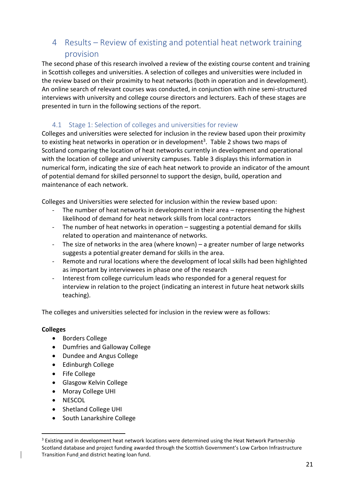# <span id="page-20-0"></span>4 Results – Review of existing and potential heat network training provision

The second phase of this research involved a review of the existing course content and training in Scottish colleges and universities. A selection of colleges and universities were included in the review based on their proximity to heat networks (both in operation and in development). An online search of relevant courses was conducted, in conjunction with nine semi-structured interviews with university and college course directors and lecturers. Each of these stages are presented in turn in the following sections of the report.

## 4.1 Stage 1: Selection of colleges and universities for review

<span id="page-20-1"></span>Colleges and universities were selected for inclusion in the review based upon their proximity to existing heat networks in operation or in development<sup>3</sup>. [Table 2](#page-22-0) shows two maps of Scotland comparing the location of heat networks currently in development and operational with the location of college and university campuses. [Table 3](#page-23-0) displays this information in numerical form, indicating the size of each heat network to provide an indicator of the amount of potential demand for skilled personnel to support the design, build, operation and maintenance of each network.

Colleges and Universities were selected for inclusion within the review based upon:

- The number of heat networks in development in their area  $-$  representing the highest likelihood of demand for heat network skills from local contractors
- The number of heat networks in operation suggesting a potential demand for skills related to operation and maintenance of networks.
- The size of networks in the area (where known) a greater number of large networks suggests a potential greater demand for skills in the area.
- Remote and rural locations where the development of local skills had been highlighted as important by interviewees in phase one of the research
- Interest from college curriculum leads who responded for a general request for interview in relation to the project (indicating an interest in future heat network skills teaching).

The colleges and universities selected for inclusion in the review were as follows:

#### **Colleges**

- Borders College
- Dumfries and Galloway College
- Dundee and Angus College
- Edinburgh College
- Fife College
- Glasgow Kelvin College
- Moray College UHI
- NESCOL
- Shetland College UHI
- South Lanarkshire College

<sup>&</sup>lt;sup>3</sup> Existing and in development heat network locations were determined using the Heat Network Partnership Scotland database and project funding awarded through the Scottish Government's Low Carbon Infrastructure Transition Fund and district heating loan fund.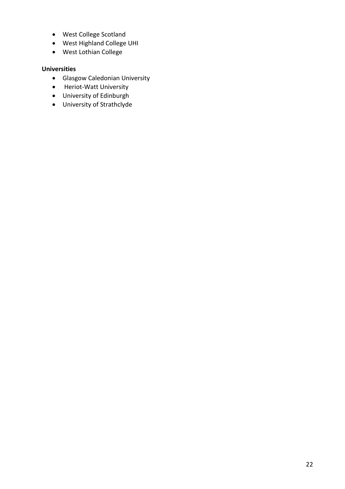- West College Scotland
- West Highland College UHI
- West Lothian College

#### **Universities**

- Glasgow Caledonian University
- Heriot-Watt University
- University of Edinburgh
- University of Strathclyde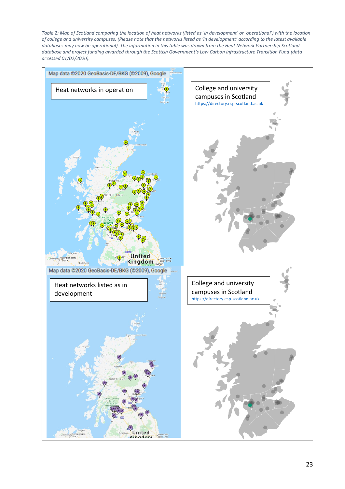<span id="page-22-0"></span>*Table 2: Map of Scotland comparing the location of heat networks (listed as 'in development' or 'operational') with the location of college and university campuses. (Please note that the networks listed as 'in development' according to the latest available databases may now be operational). The information in this table was drawn from the Heat Network Partnership Scotland database and project funding awarded through the Scottish Government's Low Carbon Infrastructure Transition Fund (data accessed 01/02/2020).*

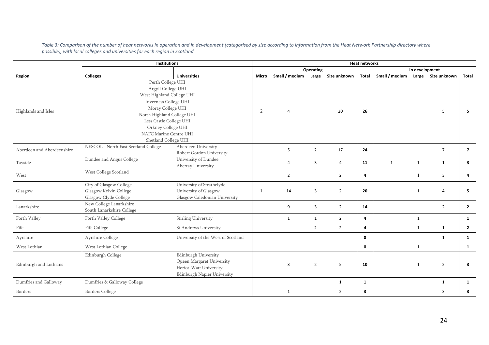*Table 3: Comparison of the number of heat networks in operation and in development (categorised by size according to information from the Heat Network Partnership directory where possible), with local colleges and universities for each region in Scotland*

<span id="page-23-0"></span>

|                            | Institutions                                                                                                                                                                                                                                        |                                                                                                            | <b>Heat networks</b> |                |                |                |              |                |              |                    |                         |
|----------------------------|-----------------------------------------------------------------------------------------------------------------------------------------------------------------------------------------------------------------------------------------------------|------------------------------------------------------------------------------------------------------------|----------------------|----------------|----------------|----------------|--------------|----------------|--------------|--------------------|-------------------------|
|                            |                                                                                                                                                                                                                                                     |                                                                                                            | Operating            |                |                |                |              | In development |              |                    |                         |
| Region                     | <b>Colleges</b>                                                                                                                                                                                                                                     | <b>Universities</b>                                                                                        | <b>Micro</b>         | Small / medium | Large          | Size unknown   | <b>Total</b> | Small / medium |              | Large Size unknown | <b>Total</b>            |
| Highlands and Isles        | Perth College UHI<br>Argyll College UHI<br>West Highland College UHI<br>Inverness College UHI<br>Moray College UHI<br>North Highland College UHI<br>Less Castle College UHI<br>Orkney College UHI<br>NAFC Marine Centre UHI<br>Shetland College UHI |                                                                                                            | 2                    | $\overline{4}$ |                | 20             | 26           |                |              | 5                  | 5.                      |
| Aberdeen and Aberdeenshire | NESCOL - North East Scotland College                                                                                                                                                                                                                | Aberdeen University<br>Robert Gordon University                                                            |                      | 5              | $\overline{2}$ | 17             | 24           |                |              | $\overline{7}$     | $\overline{7}$          |
| Tayside                    | Dundee and Angus College                                                                                                                                                                                                                            | University of Dundee<br>Abertay University                                                                 |                      | $\overline{4}$ | 3              | 4              | 11           | 1              | $\mathbf{1}$ | 1                  | $\overline{\mathbf{3}}$ |
| West                       | West College Scotland                                                                                                                                                                                                                               |                                                                                                            |                      | $\overline{2}$ |                | $\overline{2}$ | 4            |                |              | $\overline{3}$     | $\overline{4}$          |
| Glasgow                    | City of Glasgow College<br>Glasgow Kelvin College<br>Glasgow Clyde College                                                                                                                                                                          | University of Strathclyde<br>University of Glasgow<br>Glasgow Caledonian University                        | -1                   | 14             | 3              | $\overline{2}$ | 20           |                | $\mathbf{1}$ | 4                  | 5                       |
| Lanarkshire                | New College Lanarkshire<br>South Lanarkshire College                                                                                                                                                                                                |                                                                                                            |                      | 9              | 3              | $\overline{2}$ | 14           |                |              | $\overline{2}$     | $\overline{2}$          |
| Forth Valley               | Forth Valley College                                                                                                                                                                                                                                | Stirling University                                                                                        |                      | $\mathbf{1}$   | $\mathbf{1}$   | $\overline{2}$ | 4            |                | $\mathbf{1}$ |                    | <b>1</b>                |
| Fife                       | Fife College                                                                                                                                                                                                                                        | St Andrews University                                                                                      |                      |                | $\overline{2}$ | $2^{\circ}$    | 4            |                | $\mathbf{1}$ | $\mathbf{1}$       | $\overline{2}$          |
| Ayrshire                   | Ayrshire College                                                                                                                                                                                                                                    | University of the West of Scotland                                                                         |                      |                |                |                | 0            |                |              | $\mathbf{1}$       | $\mathbf{1}$            |
| West Lothian               | West Lothian College                                                                                                                                                                                                                                |                                                                                                            |                      |                |                |                | 0            |                | $\mathbf{1}$ |                    | $\mathbf{1}$            |
| Edinburgh and Lothians     | Edinburgh College                                                                                                                                                                                                                                   | Edinburgh University<br>Queen Margaret University<br>Heriot-Watt University<br>Edinburgh Napier University |                      | 3              | $\overline{2}$ | 5              | 10           |                | 1            | $\overline{2}$     | 3                       |
| Dumfries and Galloway      | Dumfries & Galloway College                                                                                                                                                                                                                         |                                                                                                            |                      |                |                | $\mathbf{1}$   | 1            |                |              | 1                  | 1                       |
| Borders                    | <b>Borders College</b>                                                                                                                                                                                                                              |                                                                                                            |                      | $\mathbf{1}$   |                | $\overline{2}$ | 3            |                |              | 3                  | 3                       |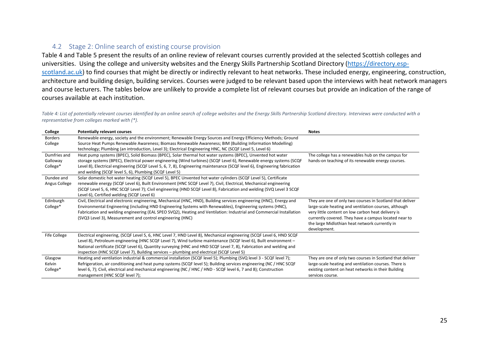### 4.2 Stage 2: Online search of existing course provision

[Table 4](#page-24-1) and [Table 5](#page-26-0) present the results of an online review of relevant courses currently provided at the selected Scottish colleges and universities. Using the college and university websites and the Energy Skills Partnership Scotland Directory [\(https://directory.esp](https://directory.esp-scotland.ac.uk/)[scotland.ac.uk\)](https://directory.esp-scotland.ac.uk/) to find courses that might be directly or indirectly relevant to heat networks. These included energy, engineering, construction, architecture and building design, building services. Courses were judged to be relevant based upon the interviews with heat network managers and course lecturers. The tables below are unlikely to provide a complete list of relevant courses but provide an indication of the range of courses available at each institution.

<span id="page-24-1"></span>Table 4: List of potentially relevant courses identified by an online search of college websites and the Energy Skills Partnership Scotland directory. Interviews were conducted with a *representative from colleges marked with (\*).* 

<span id="page-24-0"></span>

| College        | <b>Potentially relevant courses</b>                                                                                                                                                                                                      | <b>Notes</b>                                              |
|----------------|------------------------------------------------------------------------------------------------------------------------------------------------------------------------------------------------------------------------------------------|-----------------------------------------------------------|
| <b>Borders</b> | Renewable energy, society and the environment; Renewable Energy Sources and Energy Efficiency Methods; Ground                                                                                                                            |                                                           |
| College        | Source Heat Pumps Renewable Awareness; Biomass Renewable Awareness; BIM (Building Information Modelling)<br>technology; Plumbing (an introduction, Level 3); Electrical Engineering HNC, NC (SCQF Level 5, Level 6)                      |                                                           |
| Dumfries and   | Heat pump systems (BPEC), Solid Biomass (BPEC), Solar thermal hot water systems (BPEC), Unvented hot water                                                                                                                               | The college has a renewables hub on the campus for        |
| Galloway       | storage systems (BPEC), Electrical power engineering (Wind turbines) (SCQF Level 6), Renewable energy systems (SCQF                                                                                                                      | hands-on teaching of its renewable energy courses.        |
| College*       | Level 8), Electrical engineering (SCQF Level 5, 6, 7, 8), Engineering maintenance (SCQF level 6), Engineering fabrication                                                                                                                |                                                           |
|                | and welding (SCQF level 5, 6), Plumbing (SCQF Level 5)                                                                                                                                                                                   |                                                           |
| Dundee and     | Solar domestic hot water heating (SCQF Level 5), BPEC Unvented hot water cylinders (SCQF Level 5), Certificate                                                                                                                           |                                                           |
| Angus College  | renewable energy (SCQF Level 6), Built Environment (HNC SCQF Level 7), Civil, Electrical, Mechanical engineering<br>(SCQF Level 5, 6, HNC SCQF Level 7); Civil engineering (HND SCQF Level 8), Fabrication and welding (SVQ Level 3 SCQF |                                                           |
|                | Level 6), Certified welding (SCQF Level 6)                                                                                                                                                                                               |                                                           |
| Edinburgh      | Civil, Electrical and electronic engineering, Mechanical (HNC, HND), Building services engineering (HNC), Energy and                                                                                                                     | They are one of only two courses in Scotland that deliver |
| College*       | Environmental Engineering (including HND Engineering Systems with Renewables), Engineering systems (HNC),                                                                                                                                | large-scale heating and ventilation courses, although     |
|                | Fabrication and welding engineering (EAL SPEO SVQ2), Heating and Ventilation: Industrial and Commercial Installation                                                                                                                     | very little content on low carbon heat delivery is        |
|                | (SVQ3 Level 3), Measurement and control engineering (HNC)                                                                                                                                                                                | currently covered. They have a campus located near to     |
|                |                                                                                                                                                                                                                                          | the large Midlothian heat network currently in            |
|                |                                                                                                                                                                                                                                          | development.                                              |
| Fife College   | Electrical engineering, (SCQF Level 5, 6, HNC Level 7, HND Level 8), Mechanical engineering (SCQF Level 6, HND SCQF                                                                                                                      |                                                           |
|                | Level 8), Petroleum engineering (HNC SCQF Level 7), Wind turbine maintenance (SCQF level 6), Built environment -                                                                                                                         |                                                           |
|                | National certificate (SCQF Level 6), Quantity surveying (HNC and HND SCQF Level 7, 8), Fabrication and welding and                                                                                                                       |                                                           |
|                | inspection (HNC SCQF Level 7), Building services – plumbing and electrical (SCQF Level 5)                                                                                                                                                |                                                           |
| Glasgow        | Heating and ventilation industrial & commercial installation (SCQF level 5); Plumbing (SVQ level 3 - SCQF level 7);                                                                                                                      | They are one of only two courses in Scotland that deliver |
| Kelvin         | Refrigeration, air conditioning and heat pump systems (SCQF level 5); Building services engineering (NC / HNC SCQF                                                                                                                       | large-scale heating and ventilation courses. There is     |
| College*       | level 6, 7); Civil, electrical and mechanical engineering (NC / HNC / HND - SCQF level 6, 7 and 8); Construction                                                                                                                         | existing content on heat networks in their Building       |
|                | management (HNC SCQF level 7);                                                                                                                                                                                                           | services course.                                          |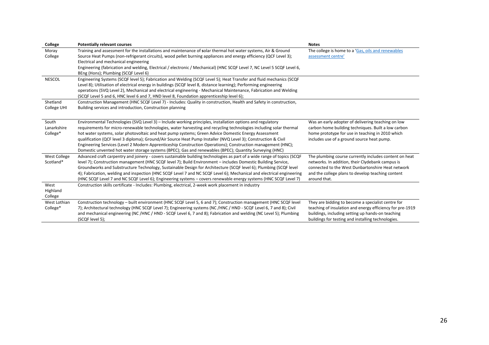| College       | <b>Potentially relevant courses</b>                                                                                     | <b>Notes</b>                                              |
|---------------|-------------------------------------------------------------------------------------------------------------------------|-----------------------------------------------------------|
| Moray         | Training and assessment for the installations and maintenance of solar thermal hot water systems, Air & Ground          | The college is home to a 'Gas, oils and renewables        |
| College       | Source Heat Pumps (non-refrigerant circuits), wood pellet burning appliances and energy efficiency (QCF Level 3);       | assessment centre'                                        |
|               | Electrical and mechanical engineering                                                                                   |                                                           |
|               | Engineering (fabrication and welding, Electrical / electronic / Mechanical) (HNC SCQF Level 7, NC Level 5 SCQF Level 6, |                                                           |
|               | BEng (Hons); Plumbing (SCQF Level 6)                                                                                    |                                                           |
| <b>NESCOL</b> | Engineering Systems (SCQF level 5); Fabrication and Welding (SCQF Level 5); Heat Transfer and fluid mechanics (SCQF     |                                                           |
|               | Level 8); Utilisation of electrical energy in buildings (SCQF level 8, distance learning); Performing engineering       |                                                           |
|               | operations (SVQ Level 2), Mechanical and electrical engineering - Mechanical Maintenance, Fabrication and Welding       |                                                           |
|               | (SCQF Level 5 and 6, HNC level 6 and 7, HND level 8, Foundation apprenticeship level 6);                                |                                                           |
| Shetland      | Construction Management (HNC SCQF Level 7) - Includes: Quality in construction, Health and Safety in construction,      |                                                           |
| College UHI   | Building services and introduction, Construction planning                                                               |                                                           |
|               |                                                                                                                         |                                                           |
| South         | Environmental Technologies (SVQ Level 3) - Include working principles, installation options and regulatory              | Was an early adopter of delivering teaching on low        |
| Lanarkshire   | requirements for micro-renewable technologies, water harvesting and recycling technologies including solar thermal      | carbon home building techniques. Built a low carbon       |
| College*      | hot water systems, solar photovoltaic and heat pump systems; Green Advice Domestic Energy Assessment                    | home prototype for use in teaching in 2010 which          |
|               | qualification (QCF level 3 diploma); Ground/Air Source Heat Pump Installer (NVQ Level 3); Construction & Civil          | includes use of a ground source heat pump.                |
|               | Engineering Services (Level 2 Modern Apprenticeship Construction Operations); Construction management (HNC);            |                                                           |
|               | Domestic unvented hot water storage systems (BPEC); Gas and renewables (BPEC); Quantity Surveying (HNC)                 |                                                           |
| West College  | Advanced craft carpentry and joinery - covers sustainable building technologies as part of a wide range of topics (SCQF | The plumbing course currently includes content on heat    |
| Scotland*     | level 7); Construction management (HNC SCQF level 7); Build Environment - includes Domestic Building Service,           | networks. In addition, their Clydebank campus is          |
|               | Groundworks and Substructure Technology, Sustainable Design for Architecture (SCQF level 6); Plumbing (SCQF level       | connected to the West Dunbartonshire Heat network         |
|               | 4); Fabrication, welding and inspection (HNC SCQF Level 7 and NC SCQF Level 6); Mechanical and electrical engineering   | and the college plans to develop teaching content         |
|               | (HNC SCQF Level 7 and NC SCQF Level 6); Engineering systems – covers renewable energy systems (HNC SCQF Level 7)        | around that.                                              |
| West          | Construction skills certificate - Includes: Plumbing, electrical, 2-week work placement in industry                     |                                                           |
| Highland      |                                                                                                                         |                                                           |
| College       |                                                                                                                         |                                                           |
| West Lothian  | Construction technology – built environment (HNC SCQF Level 5, 6 and 7); Construction management (HNC SCQF level        | They are bidding to become a specialist centre for        |
| College*      | 7); Architectural technology (HNC SCQF Level 7); Engineering systems (NC /HNC / HND - SCQF Level 6, 7 and 8); Civil     | teaching of insulation and energy efficiency for pre-1919 |
|               | and mechanical engineering (NC/HNC/HND - SCQF Level 6, 7 and 8); Fabrication and welding (NC Level 5); Plumbing         | buildings, including setting up hands-on teaching         |
|               | (SCQF level 5);                                                                                                         | buildings for testing and installing technologies.        |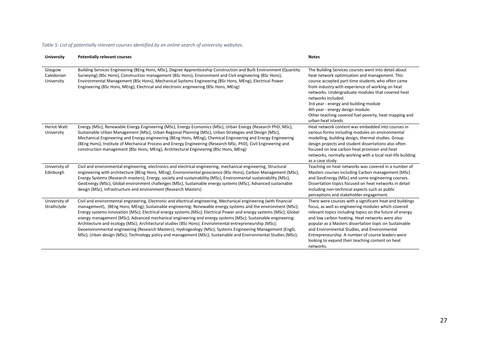#### <span id="page-26-0"></span>*Table 5: List of potentially relevant courses identified by an online search of university websites.*

| <b>University</b>                   | <b>Potentially relevant courses</b>                                                                                                                                                                                                                                                                                                                                                                                                                                                                                                                                                                                                                                                                                                                                                                                 | <b>Notes</b>                                                                                                                                                                                                                                                                                                                                                                                                                                                   |
|-------------------------------------|---------------------------------------------------------------------------------------------------------------------------------------------------------------------------------------------------------------------------------------------------------------------------------------------------------------------------------------------------------------------------------------------------------------------------------------------------------------------------------------------------------------------------------------------------------------------------------------------------------------------------------------------------------------------------------------------------------------------------------------------------------------------------------------------------------------------|----------------------------------------------------------------------------------------------------------------------------------------------------------------------------------------------------------------------------------------------------------------------------------------------------------------------------------------------------------------------------------------------------------------------------------------------------------------|
| Glasgow<br>Caledonian<br>University | Building Services Engineering (BEng Hons, MSc), Degree Apprenticeship Construction and Built Environment (Quantity<br>Surveying) (BSc Hons), Construction management (BSc Hons), Environment and Civil engineering (BSc Hons),<br>Environmental Management (BSc Hons), Mechanical Systems Engineering (BSc Hons, MEng), Electrical Power<br>Engineering (BSc Hons, MEng), Electrical and electronic engineering (BSc Hons, MEng)                                                                                                                                                                                                                                                                                                                                                                                    | The Building Services courses went into detail about<br>heat network optimisation and management. This<br>course accepted part-time students who often came<br>from industry with experience of working on heat<br>networks. Undergraduate modules that covered heat<br>networks included:<br>3rd year - energy and building module<br>4th year - energy design module.<br>Other teaching covered fuel poverty, heat mapping and<br>urban heat islands         |
| Heriot-Watt<br>University           | Energy (MSc), Renewable Energy Engineering (MSc), Energy Economics (MSc), Urban Energy (Research PhD, MSc),<br>Sustainable Urban Management (MSc), Urban Regional Planning (MSc), Urban Strategies and Design (MSc),<br>Mechanical Engineering and Energy engineering (BEng Hons, MEng), Chemical Engineering and Energy Engineering<br>(BEng Hons), Institute of Mechanical Process and Energy Engineering (Research MSc, PhD), Civil Engineering and<br>construction management (BSc Hons, MEng), Architectural Engineering (BSc Hons, MEng)                                                                                                                                                                                                                                                                      | Heat network content was embedded into courses in<br>various forms including modules on environmental<br>modelling, building design, thermal studies. Group<br>design projects and student dissertations also often<br>focused on low carbon heat provision and heat<br>networks, normally working with a local real-life building<br>as a case study.                                                                                                         |
| University of<br>Edinburgh          | Civil and environmental engineering, electronics and electrical engineering, mechanical engineering, Structural<br>engineering with architecture (BEng Hons, MEng), Environmental geoscience (BSc Hons), Carbon Management (MSc),<br>Energy Systems (Research masters), Energy, society and sustainability (MSc), Environmental sustainability (MSc),<br>GeoEnergy (MSc), Global environment challenges (MSc), Sustainable energy systems (MSc), Advanced sustainable<br>design (MSc), Infrastructure and environment (Research Masters)                                                                                                                                                                                                                                                                            | Teaching on heat networks was covered in a number of<br>Masters courses including Carbon management (MSc)<br>and GeoEnergy (MSc) and some engineering courses.<br>Dissertation topics focused on heat networks in detail<br>including non-technical aspects such as public<br>perceptions and stakeholder engagement.                                                                                                                                          |
| University of<br>Strathclyde        | Civil and environmental engineering, Electronic and electrical engineering, Mechanical engineering (with financial<br>management), (BEng Hons, MEng); Sustainable engineering: Renewable energy systems and the environment (MSc);<br>Energy systems innovation (MSc); Electrical energy systems (MSc); Electrical Power and energy systems (MSc); Global<br>energy management (MSc); Advanced mechanical engineering and energy systems (MSc); Sustainable engineering:<br>Architecture and ecology (MSc); Architectural studies (BSc Hons); Environmental entrepreneurship (MSc);<br>Geoenvironmental engineering (Research Masters); Hydrogeology (MSc); Systems Engineering Management (EngD,<br>MSc); Urban design (MSc); Technology policy and management (MSc); Sustainable and Environmental Studies (MSc); | There were courses with a significant heat and buildings<br>focus, as well as engineering modules which covered<br>relevant topics including topics on the future of energy<br>and low carbon heating. Heat networks were also<br>popular as a Masters dissertation topic on Sustainable<br>and Environmental Studies, and Environmental<br>Entrepreneurship. A number of course leaders were<br>looking to expand their teaching content on heat<br>networks. |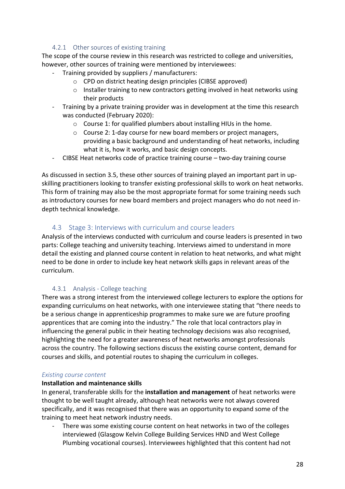#### 4.2.1 Other sources of existing training

<span id="page-27-0"></span>The scope of the course review in this research was restricted to college and universities, however, other sources of training were mentioned by interviewees:

- Training provided by suppliers / manufacturers:
	- o CPD on district heating design principles (CIBSE approved)
	- o Installer training to new contractors getting involved in heat networks using their products
- Training by a private training provider was in development at the time this research was conducted (February 2020):
	- o Course 1: for qualified plumbers about installing HIUs in the home.
	- o Course 2: 1-day course for new board members or project managers, providing a basic background and understanding of heat networks, including what it is, how it works, and basic design concepts.
- CIBSE Heat networks code of practice training course two-day training course

As discussed in section [3.5,](#page-14-0) these other sources of training played an important part in upskilling practitioners looking to transfer existing professional skills to work on heat networks. This form of training may also be the most appropriate format for some training needs such as introductory courses for new board members and project managers who do not need indepth technical knowledge.

#### 4.3 Stage 3: Interviews with curriculum and course leaders

<span id="page-27-1"></span>Analysis of the interviews conducted with curriculum and course leaders is presented in two parts: College teaching and university teaching. Interviews aimed to understand in more detail the existing and planned course content in relation to heat networks, and what might need to be done in order to include key heat network skills gaps in relevant areas of the curriculum.

#### 4.3.1 Analysis - College teaching

<span id="page-27-2"></span>There was a strong interest from the interviewed college lecturers to explore the options for expanding curriculums on heat networks, with one interviewee stating that "there needs to be a serious change in apprenticeship programmes to make sure we are future proofing apprentices that are coming into the industry." The role that local contractors play in influencing the general public in their heating technology decisions was also recognised, highlighting the need for a greater awareness of heat networks amongst professionals across the country. The following sections discuss the existing course content, demand for courses and skills, and potential routes to shaping the curriculum in colleges.

#### *Existing course content*

#### **Installation and maintenance skills**

In general, transferable skills for the **installation and management** of heat networks were thought to be well taught already, although heat networks were not always covered specifically, and it was recognised that there was an opportunity to expand some of the training to meet heat network industry needs.

- There was some existing course content on heat networks in two of the colleges interviewed (Glasgow Kelvin College Building Services HND and West College Plumbing vocational courses). Interviewees highlighted that this content had not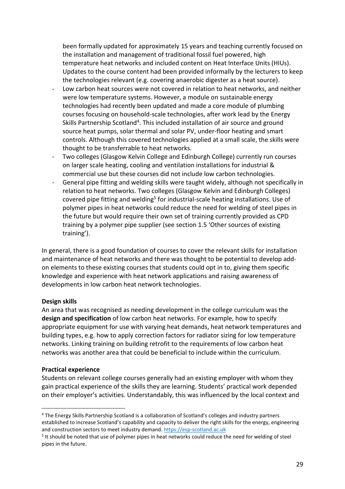been formally updated for approximately 15 years and teaching currently focused on the installation and management of traditional fossil fuel powered, high temperature heat networks and included content on Heat Interface Units (HIUs). Updates to the course content had been provided informally by the lecturers to keep the technologies relevant (e.g. covering anaerobic digester as a heat source).

- Low carbon heat sources were not covered in relation to heat networks, and neither were low temperature systems. However, a module on sustainable energy technologies had recently been updated and made a core module of plumbing courses focusing on household-scale technologies, after work lead by the Energy Skills Partnership Scotland<sup>4</sup>. This included installation of air source and ground source heat pumps, solar thermal and solar PV, under-floor heating and smart controls. Although this covered technologies applied at a small scale, the skills were thought to be transferrable to heat networks.
- Two colleges (Glasgow Kelvin College and Edinburgh College) currently run courses on larger scale heating, cooling and ventilation installations for industrial & commercial use but these courses did not include low carbon technologies.
- General pipe fitting and welding skills were taught widely, although not specifically in relation to heat networks. Two colleges (Glasgow Kelvin and Edinburgh Colleges) covered pipe fitting and welding<sup>5</sup> for industrial-scale heating installations. Use of polymer pipes in heat networks could reduce the need for welding of steel pipes in the future but would require their own set of training currently provided as CPD training by a polymer pipe supplier (see section 1.5 'Other sources of existing training').

In general, there is a good foundation of courses to cover the relevant skills for installation and maintenance of heat networks and there was thought to be potential to develop addon elements to these existing courses that students could opt in to, giving them specific knowledge and experience with heat network applications and raising awareness of developments in low carbon heat network technologies.

#### **Design skills**

An area that was recognised as needing development in the college curriculum was the **design and specification** of low carbon heat networks. For example, how to specify appropriate equipment for use with varying heat demands, heat network temperatures and building types, e.g. how to apply correction factors for radiator sizing for low temperature networks. Linking training on building retrofit to the requirements of low carbon heat networks was another area that could be beneficial to include within the curriculum.

#### **Practical experience**

Students on relevant college courses generally had an existing employer with whom they gain practical experience of the skills they are learning. Students' practical work depended on their employer's activities. Understandably, this was influenced by the local context and

<sup>4</sup> The Energy Skills Partnership Scotland is a collaboration of Scotland's colleges and industry partners established to increase Scotland's capability and capacity to deliver the right skills for the energy, engineering and construction sectors to meet industry demand[. https://esp-scotland.ac.uk](https://esp-scotland.ac.uk/)

<sup>&</sup>lt;sup>5</sup> It should be noted that use of polymer pipes in heat networks could reduce the need for welding of steel pipes in the future.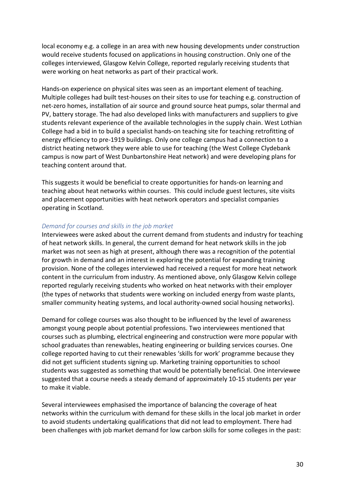local economy e.g. a college in an area with new housing developments under construction would receive students focused on applications in housing construction. Only one of the colleges interviewed, Glasgow Kelvin College, reported regularly receiving students that were working on heat networks as part of their practical work.

Hands-on experience on physical sites was seen as an important element of teaching. Multiple colleges had built test-houses on their sites to use for teaching e.g. construction of net-zero homes, installation of air source and ground source heat pumps, solar thermal and PV, battery storage. The had also developed links with manufacturers and suppliers to give students relevant experience of the available technologies in the supply chain. West Lothian College had a bid in to build a specialist hands-on teaching site for teaching retrofitting of energy efficiency to pre-1919 buildings. Only one college campus had a connection to a district heating network they were able to use for teaching (the West College Clydebank campus is now part of West Dunbartonshire Heat network) and were developing plans for teaching content around that.

This suggests it would be beneficial to create opportunities for hands-on learning and teaching about heat networks within courses. This could include guest lectures, site visits and placement opportunities with heat network operators and specialist companies operating in Scotland.

#### *Demand for courses and skills in the job market*

Interviewees were asked about the current demand from students and industry for teaching of heat network skills. In general, the current demand for heat network skills in the job market was not seen as high at present, although there was a recognition of the potential for growth in demand and an interest in exploring the potential for expanding training provision. None of the colleges interviewed had received a request for more heat network content in the curriculum from industry. As mentioned above, only Glasgow Kelvin college reported regularly receiving students who worked on heat networks with their employer (the types of networks that students were working on included energy from waste plants, smaller community heating systems, and local authority-owned social housing networks).

Demand for college courses was also thought to be influenced by the level of awareness amongst young people about potential professions. Two interviewees mentioned that courses such as plumbing, electrical engineering and construction were more popular with school graduates than renewables, heating engineering or building services courses. One college reported having to cut their renewables 'skills for work' programme because they did not get sufficient students signing up. Marketing training opportunities to school students was suggested as something that would be potentially beneficial. One interviewee suggested that a course needs a steady demand of approximately 10-15 students per year to make it viable.

Several interviewees emphasised the importance of balancing the coverage of heat networks within the curriculum with demand for these skills in the local job market in order to avoid students undertaking qualifications that did not lead to employment. There had been challenges with job market demand for low carbon skills for some colleges in the past: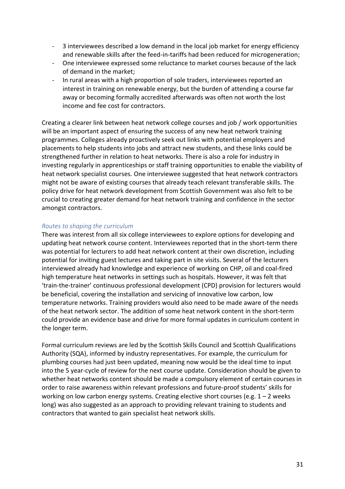- 3 interviewees described a low demand in the local job market for energy efficiency and renewable skills after the feed-in-tariffs had been reduced for microgeneration;
- One interviewee expressed some reluctance to market courses because of the lack of demand in the market;
- In rural areas with a high proportion of sole traders, interviewees reported an interest in training on renewable energy, but the burden of attending a course far away or becoming formally accredited afterwards was often not worth the lost income and fee cost for contractors.

Creating a clearer link between heat network college courses and job / work opportunities will be an important aspect of ensuring the success of any new heat network training programmes. Colleges already proactively seek out links with potential employers and placements to help students into jobs and attract new students, and these links could be strengthened further in relation to heat networks. There is also a role for industry in investing regularly in apprenticeships or staff training opportunities to enable the viability of heat network specialist courses. One interviewee suggested that heat network contractors might not be aware of existing courses that already teach relevant transferable skills. The policy drive for heat network development from Scottish Government was also felt to be crucial to creating greater demand for heat network training and confidence in the sector amongst contractors.

#### *Routes to shaping the curriculum*

There was interest from all six college interviewees to explore options for developing and updating heat network course content. Interviewees reported that in the short-term there was potential for lecturers to add heat network content at their own discretion, including potential for inviting guest lectures and taking part in site visits. Several of the lecturers interviewed already had knowledge and experience of working on CHP, oil and coal-fired high temperature heat networks in settings such as hospitals. However, it was felt that 'train-the-trainer' continuous professional development (CPD) provision for lecturers would be beneficial, covering the installation and servicing of innovative low carbon, low temperature networks. Training providers would also need to be made aware of the needs of the heat network sector. The addition of some heat network content in the short-term could provide an evidence base and drive for more formal updates in curriculum content in the longer term.

Formal curriculum reviews are led by the Scottish Skills Council and Scottish Qualifications Authority (SQA), informed by industry representatives. For example, the curriculum for plumbing courses had just been updated, meaning now would be the ideal time to input into the 5 year-cycle of review for the next course update. Consideration should be given to whether heat networks content should be made a compulsory element of certain courses in order to raise awareness within relevant professions and future-proof students' skills for working on low carbon energy systems. Creating elective short courses (e.g.  $1 - 2$  weeks long) was also suggested as an approach to providing relevant training to students and contractors that wanted to gain specialist heat network skills.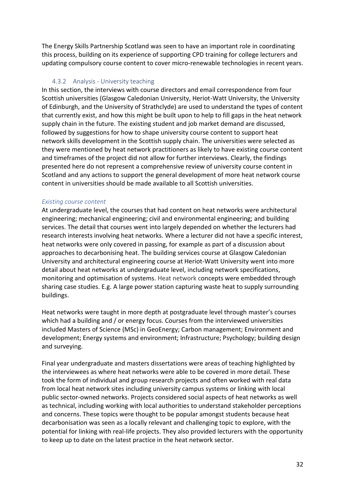The Energy Skills Partnership Scotland was seen to have an important role in coordinating this process, building on its experience of supporting CPD training for college lecturers and updating compulsory course content to cover micro-renewable technologies in recent years.

#### 4.3.2 Analysis - University teaching

<span id="page-31-0"></span>In this section, the interviews with course directors and email correspondence from four Scottish universities (Glasgow Caledonian University, Heriot-Watt University, the University of Edinburgh, and the University of Strathclyde) are used to understand the types of content that currently exist, and how this might be built upon to help to fill gaps in the heat network supply chain in the future. The existing student and job market demand are discussed, followed by suggestions for how to shape university course content to support heat network skills development in the Scottish supply chain. The universities were selected as they were mentioned by heat network practitioners as likely to have existing course content and timeframes of the project did not allow for further interviews. Clearly, the findings presented here do not represent a comprehensive review of university course content in Scotland and any actions to support the general development of more heat network course content in universities should be made available to all Scottish universities.

#### *Existing course content*

At undergraduate level, the courses that had content on heat networks were architectural engineering; mechanical engineering; civil and environmental engineering; and building services. The detail that courses went into largely depended on whether the lecturers had research interests involving heat networks. Where a lecturer did not have a specific interest, heat networks were only covered in passing, for example as part of a discussion about approaches to decarbonising heat. The building services course at Glasgow Caledonian University and architectural engineering course at Heriot-Watt University went into more detail about heat networks at undergraduate level, including network specifications, monitoring and optimisation of systems. Heat network concepts were embedded through sharing case studies. E.g. A large power station capturing waste heat to supply surrounding buildings.

Heat networks were taught in more depth at postgraduate level through master's courses which had a building and / or energy focus. Courses from the interviewed universities included Masters of Science (MSc) in GeoEnergy; Carbon management; Environment and development; Energy systems and environment; Infrastructure; Psychology; building design and surveying.

Final year undergraduate and masters dissertations were areas of teaching highlighted by the interviewees as where heat networks were able to be covered in more detail. These took the form of individual and group research projects and often worked with real data from local heat network sites including university campus systems or linking with local public sector-owned networks. Projects considered social aspects of heat networks as well as technical, including working with local authorities to understand stakeholder perceptions and concerns. These topics were thought to be popular amongst students because heat decarbonisation was seen as a locally relevant and challenging topic to explore, with the potential for linking with real-life projects. They also provided lecturers with the opportunity to keep up to date on the latest practice in the heat network sector.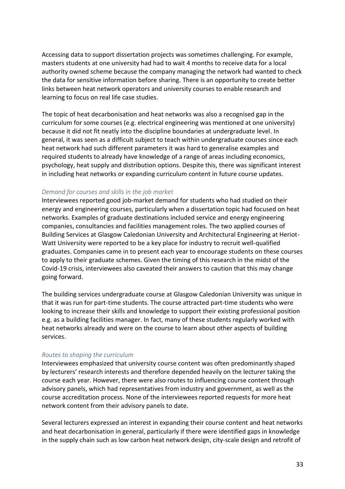Accessing data to support dissertation projects was sometimes challenging. For example, masters students at one university had had to wait 4 months to receive data for a local authority owned scheme because the company managing the network had wanted to check the data for sensitive information before sharing. There is an opportunity to create better links between heat network operators and university courses to enable research and learning to focus on real life case studies.

The topic of heat decarbonisation and heat networks was also a recognised gap in the curriculum for some courses (e.g. electrical engineering was mentioned at one university) because it did not fit neatly into the discipline boundaries at undergraduate level. In general, it was seen as a difficult subject to teach within undergraduate courses since each heat network had such different parameters it was hard to generalise examples and required students to already have knowledge of a range of areas including economics, psychology, heat supply and distribution options. Despite this, there was significant interest in including heat networks or expanding curriculum content in future course updates.

#### *Demand for courses and skills in the job market*

Interviewees reported good job-market demand for students who had studied on their energy and engineering courses, particularly when a dissertation topic had focused on heat networks. Examples of graduate destinations included service and energy engineering companies, consultancies and facilities management roles. The two applied courses of Building Services at Glasgow Caledonian University and Architectural Engineering at Heriot-Watt University were reported to be a key place for industry to recruit well-qualified graduates. Companies came in to present each year to encourage students on these courses to apply to their graduate schemes. Given the timing of this research in the midst of the Covid-19 crisis, interviewees also caveated their answers to caution that this may change going forward.

The building services undergraduate course at Glasgow Caledonian University was unique in that it was run for part-time students. The course attracted part-time students who were looking to increase their skills and knowledge to support their existing professional position e.g. as a building facilities manager. In fact, many of these students regularly worked with heat networks already and were on the course to learn about other aspects of building services.

#### *Routes to shaping the curriculum*

Interviewees emphasized that university course content was often predominantly shaped by lecturers' research interests and therefore depended heavily on the lecturer taking the course each year. However, there were also routes to influencing course content through advisory panels, which had representatives from industry and government, as well as the course accreditation process. None of the interviewees reported requests for more heat network content from their advisory panels to date.

Several lecturers expressed an interest in expanding their course content and heat networks and heat decarbonisation in general, particularly if there were identified gaps in knowledge in the supply chain such as low carbon heat network design, city-scale design and retrofit of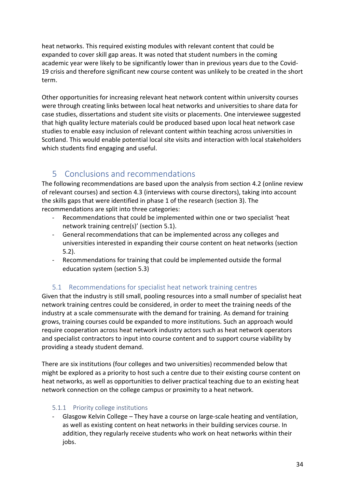heat networks. This required existing modules with relevant content that could be expanded to cover skill gap areas. It was noted that student numbers in the coming academic year were likely to be significantly lower than in previous years due to the Covid-19 crisis and therefore significant new course content was unlikely to be created in the short term.

Other opportunities for increasing relevant heat network content within university courses were through creating links between local heat networks and universities to share data for case studies, dissertations and student site visits or placements. One interviewee suggested that high quality lecture materials could be produced based upon local heat network case studies to enable easy inclusion of relevant content within teaching across universities in Scotland. This would enable potential local site visits and interaction with local stakeholders which students find engaging and useful.

# <span id="page-33-0"></span>5 Conclusions and recommendations

The following recommendations are based upon the analysis from section [4.2](#page-24-0) (online review of relevant courses) and section [4.3](#page-27-1) (interviews with course directors), taking into account the skills gaps that were identified in phase 1 of the research (section [3\)](#page-11-0). The recommendations are split into three categories:

- Recommendations that could be implemented within one or two specialist 'heat network training centre(s)' (section [5.1\)](#page-33-1).
- General recommendations that can be implemented across any colleges and universities interested in expanding their course content on heat networks (section [5.2\)](#page-35-0).
- Recommendations for training that could be implemented outside the formal education system (section [5.3\)](#page-36-1)

# 5.1 Recommendations for specialist heat network training centres

<span id="page-33-1"></span>Given that the industry is still small, pooling resources into a small number of specialist heat network training centres could be considered, in order to meet the training needs of the industry at a scale commensurate with the demand for training. As demand for training grows, training courses could be expanded to more institutions. Such an approach would require cooperation across heat network industry actors such as heat network operators and specialist contractors to input into course content and to support course viability by providing a steady student demand.

There are six institutions (four colleges and two universities) recommended below that might be explored as a priority to host such a centre due to their existing course content on heat networks, as well as opportunities to deliver practical teaching due to an existing heat network connection on the college campus or proximity to a heat network.

#### <span id="page-33-2"></span>5.1.1 Priority college institutions

Glasgow Kelvin College – They have a course on large-scale heating and ventilation, as well as existing content on heat networks in their building services course. In addition, they regularly receive students who work on heat networks within their jobs.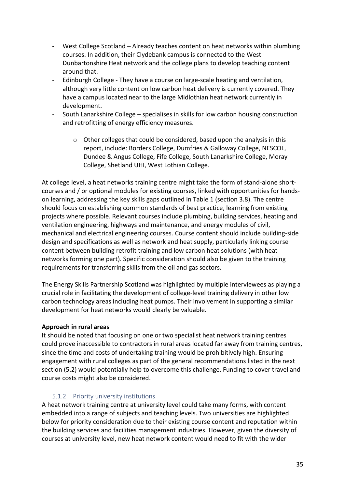- West College Scotland Already teaches content on heat networks within plumbing courses. In addition, their Clydebank campus is connected to the West Dunbartonshire Heat network and the college plans to develop teaching content around that.
- Edinburgh College They have a course on large-scale heating and ventilation, although very little content on low carbon heat delivery is currently covered. They have a campus located near to the large Midlothian heat network currently in development.
- South Lanarkshire College specialises in skills for low carbon housing construction and retrofitting of energy efficiency measures.
	- o Other colleges that could be considered, based upon the analysis in this report, include: Borders College, Dumfries & Galloway College, NESCOL, Dundee & Angus College, Fife College, South Lanarkshire College, Moray College, Shetland UHI, West Lothian College.

At college level, a heat networks training centre might take the form of stand-alone shortcourses and / or optional modules for existing courses, linked with opportunities for handson learning, addressing the key skills gaps outlined in [Table 1](#page-17-0) (section [3.8\)](#page-16-0). The centre should focus on establishing common standards of best practice, learning from existing projects where possible. Relevant courses include plumbing, building services, heating and ventilation engineering, highways and maintenance, and energy modules of civil, mechanical and electrical engineering courses. Course content should include building-side design and specifications as well as network and heat supply, particularly linking course content between building retrofit training and low carbon heat solutions (with heat networks forming one part). Specific consideration should also be given to the training requirements for transferring skills from the oil and gas sectors.

The Energy Skills Partnership Scotland was highlighted by multiple interviewees as playing a crucial role in facilitating the development of college-level training delivery in other low carbon technology areas including heat pumps. Their involvement in supporting a similar development for heat networks would clearly be valuable.

#### **Approach in rural areas**

It should be noted that focusing on one or two specialist heat network training centres could prove inaccessible to contractors in rural areas located far away from training centres, since the time and costs of undertaking training would be prohibitively high. Ensuring engagement with rural colleges as part of the general recommendations listed in the next section [\(5.2\)](#page-35-0) would potentially help to overcome this challenge. Funding to cover travel and course costs might also be considered.

#### 5.1.2 Priority university institutions

<span id="page-34-0"></span>A heat network training centre at university level could take many forms, with content embedded into a range of subjects and teaching levels. Two universities are highlighted below for priority consideration due to their existing course content and reputation within the building services and facilities management industries. However, given the diversity of courses at university level, new heat network content would need to fit with the wider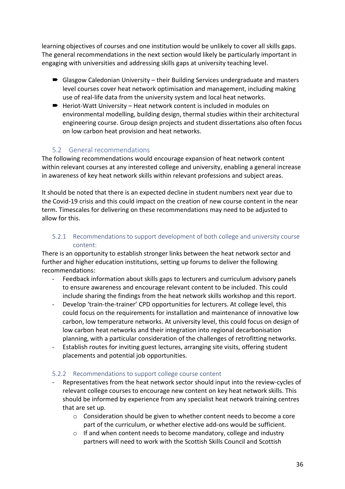learning objectives of courses and one institution would be unlikely to cover all skills gaps. The general recommendations in the next section would likely be particularly important in engaging with universities and addressing skills gaps at university teaching level.

- Glasgow Caledonian University their Building Services undergraduate and masters level courses cover heat network optimisation and management, including making use of real-life data from the university system and local heat networks.
- Heriot-Watt University Heat network content is included in modules on environmental modelling, building design, thermal studies within their architectural engineering course. Group design projects and student dissertations also often focus on low carbon heat provision and heat networks.

## 5.2 General recommendations

<span id="page-35-0"></span>The following recommendations would encourage expansion of heat network content within relevant courses at any interested college and university, enabling a general increase in awareness of key heat network skills within relevant professions and subject areas.

It should be noted that there is an expected decline in student numbers next year due to the Covid-19 crisis and this could impact on the creation of new course content in the near term. Timescales for delivering on these recommendations may need to be adjusted to allow for this.

## <span id="page-35-1"></span>5.2.1 Recommendations to support development of both college and university course content:

There is an opportunity to establish stronger links between the heat network sector and further and higher education institutions, setting up forums to deliver the following recommendations:

- Feedback information about skills gaps to lecturers and curriculum advisory panels to ensure awareness and encourage relevant content to be included. This could include sharing the findings from the heat network skills workshop and this report.
- Develop 'train-the-trainer' CPD opportunities for lecturers. At college level, this could focus on the requirements for installation and maintenance of innovative low carbon, low temperature networks. At university level, this could focus on design of low carbon heat networks and their integration into regional decarbonisation planning, with a particular consideration of the challenges of retrofitting networks.
- Establish routes for inviting guest lectures, arranging site visits, offering student placements and potential job opportunities.

### <span id="page-35-2"></span>5.2.2 Recommendations to support college course content

- Representatives from the heat network sector should input into the review-cycles of relevant college courses to encourage new content on key heat network skills. This should be informed by experience from any specialist heat network training centres that are set up.
	- $\circ$  Consideration should be given to whether content needs to become a core part of the curriculum, or whether elective add-ons would be sufficient.
	- o If and when content needs to become mandatory, college and industry partners will need to work with the Scottish Skills Council and Scottish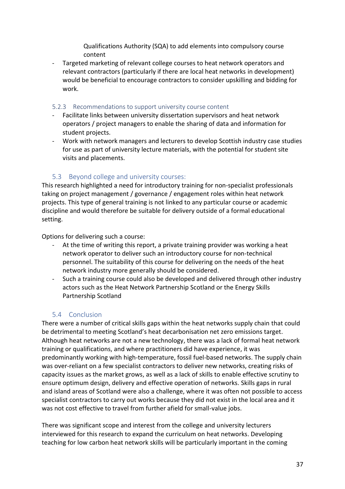Qualifications Authority (SQA) to add elements into compulsory course content

- Targeted marketing of relevant college courses to heat network operators and relevant contractors (particularly if there are local heat networks in development) would be beneficial to encourage contractors to consider upskilling and bidding for work.

#### <span id="page-36-0"></span>5.2.3 Recommendations to support university course content

- Facilitate links between university dissertation supervisors and heat network operators / project managers to enable the sharing of data and information for student projects.
- Work with network managers and lecturers to develop Scottish industry case studies for use as part of university lecture materials, with the potential for student site visits and placements.

## 5.3 Beyond college and university courses:

<span id="page-36-1"></span>This research highlighted a need for introductory training for non-specialist professionals taking on project management / governance / engagement roles within heat network projects. This type of general training is not linked to any particular course or academic discipline and would therefore be suitable for delivery outside of a formal educational setting.

Options for delivering such a course:

- At the time of writing this report, a private training provider was working a heat network operator to deliver such an introductory course for non-technical personnel. The suitability of this course for delivering on the needs of the heat network industry more generally should be considered.
- Such a training course could also be developed and delivered through other industry actors such as the Heat Network Partnership Scotland or the Energy Skills Partnership Scotland

## 5.4 Conclusion

<span id="page-36-2"></span>There were a number of critical skills gaps within the heat networks supply chain that could be detrimental to meeting Scotland's heat decarbonisation net zero emissions target. Although heat networks are not a new technology, there was a lack of formal heat network training or qualifications, and where practitioners did have experience, it was predominantly working with high-temperature, fossil fuel-based networks. The supply chain was over-reliant on a few specialist contractors to deliver new networks, creating risks of capacity issues as the market grows, as well as a lack of skills to enable effective scrutiny to ensure optimum design, delivery and effective operation of networks. Skills gaps in rural and island areas of Scotland were also a challenge, where it was often not possible to access specialist contractors to carry out works because they did not exist in the local area and it was not cost effective to travel from further afield for small-value jobs.

There was significant scope and interest from the college and university lecturers interviewed for this research to expand the curriculum on heat networks. Developing teaching for low carbon heat network skills will be particularly important in the coming